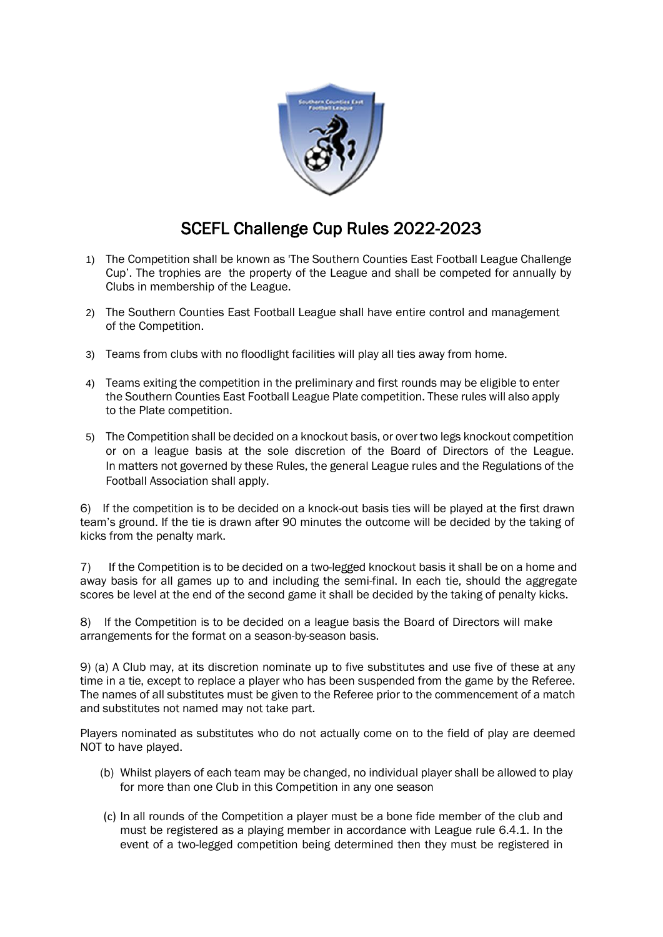

## SCEFL Challenge Cup Rules 2022-2023

- 1) The Competition shall be known as 'The Southern Counties East Football League Challenge Cup'. The trophies are the property of the League and shall be competed for annually by Clubs in membership of the League.
- 2) The Southern Counties East Football League shall have entire control and management of the Competition.
- 3) Teams from clubs with no floodlight facilities will play all ties away from home.
- 4) Teams exiting the competition in the preliminary and first rounds may be eligible to enter the Southern Counties East Football League Plate competition. These rules will also apply to the Plate competition.
- 5) The Competition shall be decided on a knockout basis, or over two legs knockout competition or on a league basis at the sole discretion of the Board of Directors of the League. In matters not governed by these Rules, the general League rules and the Regulations of the Football Association shall apply.

6) If the competition is to be decided on a knock-out basis ties will be played at the first drawn team's ground. If the tie is drawn after 90 minutes the outcome will be decided by the taking of kicks from the penalty mark.

7) If the Competition is to be decided on a two-legged knockout basis it shall be on a home and away basis for all games up to and including the semi-final. In each tie, should the aggregate scores be level at the end of the second game it shall be decided by the taking of penalty kicks.

8) If the Competition is to be decided on a league basis the Board of Directors will make arrangements for the format on a season-by-season basis.

9) (a) A Club may, at its discretion nominate up to five substitutes and use five of these at any time in a tie, except to replace a player who has been suspended from the game by the Referee. The names of all substitutes must be given to the Referee prior to the commencement of a match and substitutes not named may not take part.

Players nominated as substitutes who do not actually come on to the field of play are deemed NOT to have played.

- (b) Whilst players of each team may be changed, no individual player shall be allowed to play for more than one Club in this Competition in any one season
- (c) In all rounds of the Competition a player must be a bone fide member of the club and must be registered as a playing member in accordance with League rule 6.4.1. In the event of a two-legged competition being determined then they must be registered in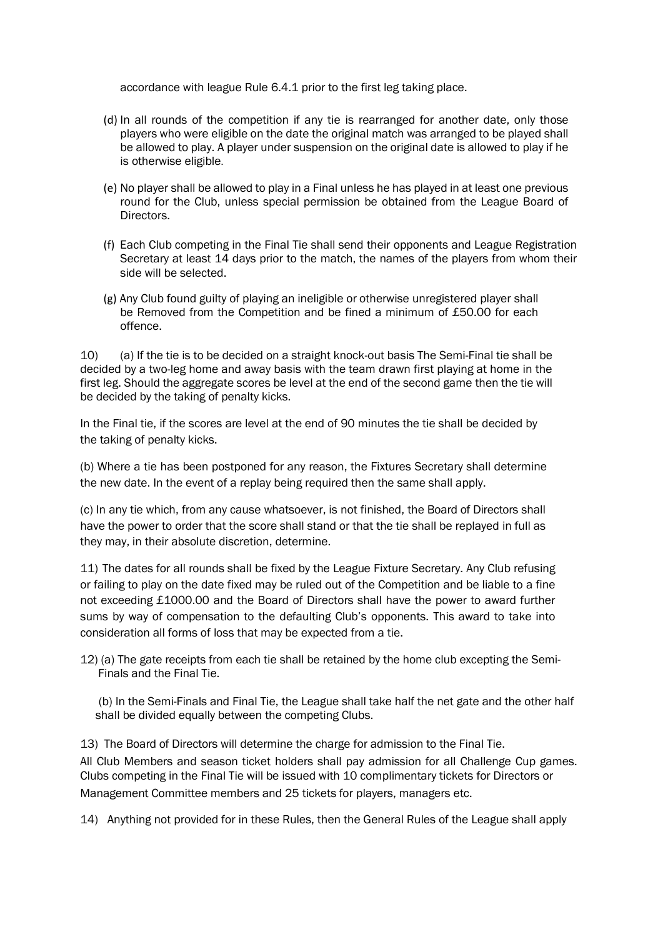accordance with league Rule 6.4.1 prior to the first leg taking place.

- (d) In all rounds of the competition if any tie is rearranged for another date, only those players who were eligible on the date the original match was arranged to be played shall be allowed to play. A player under suspension on the original date is allowed to play if he is otherwise eligible.
- (e) No player shall be allowed to play in a Final unless he has played in at least one previous round for the Club, unless special permission be obtained from the League Board of Directors.
- (f) Each Club competing in the Final Tie shall send their opponents and League Registration Secretary at least 14 days prior to the match, the names of the players from whom their side will be selected.
- (g) Any Club found guilty of playing an ineligible or otherwise unregistered player shall be Removed from the Competition and be fined a minimum of £50.00 for each offence.

10) (a) If the tie is to be decided on a straight knock-out basis The Semi-Final tie shall be decided by a two-leg home and away basis with the team drawn first playing at home in the first leg. Should the aggregate scores be level at the end of the second game then the tie will be decided by the taking of penalty kicks.

In the Final tie, if the scores are level at the end of 90 minutes the tie shall be decided by the taking of penalty kicks.

(b) Where a tie has been postponed for any reason, the Fixtures Secretary shall determine the new date. In the event of a replay being required then the same shall apply.

(c) In any tie which, from any cause whatsoever, is not finished, the Board of Directors shall have the power to order that the score shall stand or that the tie shall be replayed in full as they may, in their absolute discretion, determine.

11) The dates for all rounds shall be fixed by the League Fixture Secretary. Any Club refusing or failing to play on the date fixed may be ruled out of the Competition and be liable to a fine not exceeding £1000.00 and the Board of Directors shall have the power to award further sums by way of compensation to the defaulting Club's opponents. This award to take into consideration all forms of loss that may be expected from a tie.

12) (a) The gate receipts from each tie shall be retained by the home club excepting the Semi- Finals and the Final Tie.

 (b) In the Semi-Finals and Final Tie, the League shall take half the net gate and the other half shall be divided equally between the competing Clubs.

13) The Board of Directors will determine the charge for admission to the Final Tie. All Club Members and season ticket holders shall pay admission for all Challenge Cup games. Clubs competing in the Final Tie will be issued with 10 complimentary tickets for Directors or Management Committee members and 25 tickets for players, managers etc.

14) Anything not provided for in these Rules, then the General Rules of the League shall apply